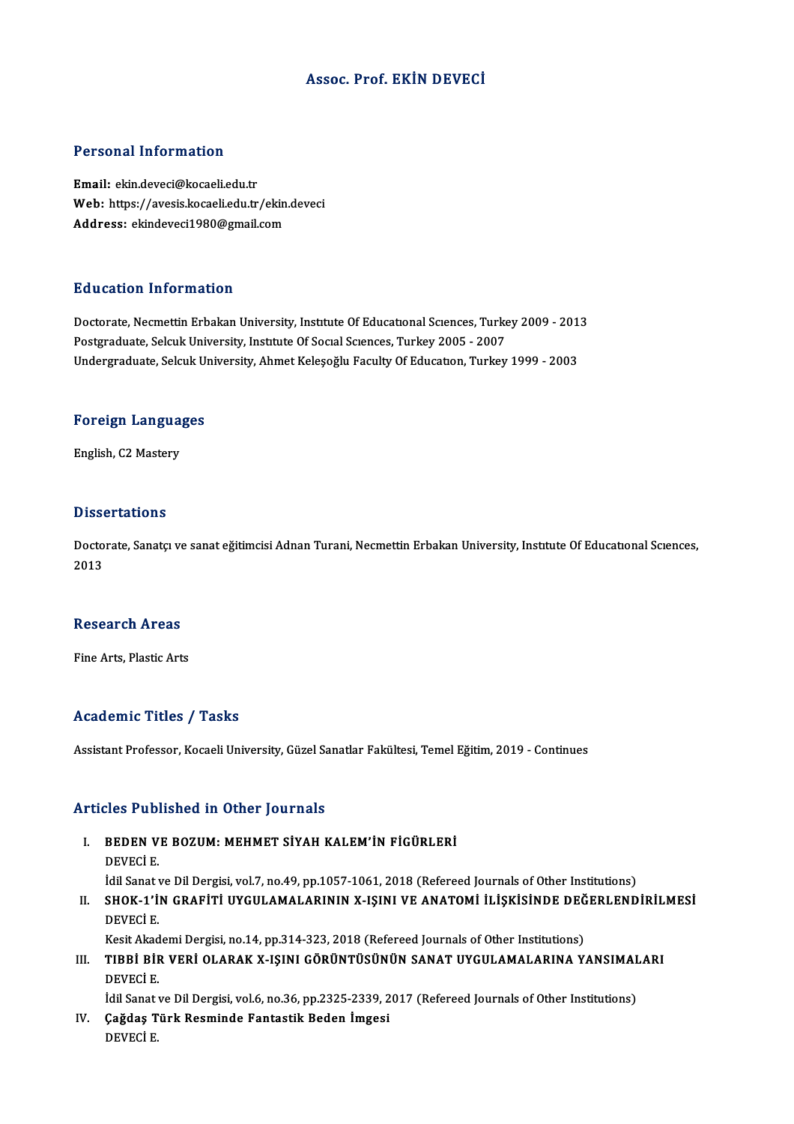#### Assoc. Prof. EKİN DEVECİ

#### Personal Information

Email: ekin.deveci@kocaeli.edu.tr r oroonar misomaaton<br>Email: ekin.deveci@kocaeli.edu.tr<br>Web: https://avesis.kocaeli.edu.tr/ekin.deveci Email: ekin.deveci@kocaeli.edu.tr<br>Web: https://avesis.kocaeli.edu.tr/ekin<br>Address: ekindeveci1980@gmail.com Address: ekindeveci1980@gmail.com<br>Education Information

Doctorate, Necmettin Erbakan University, Institute Of Educational Sciences, Turkey 2009 - 2013 Postgraduate, Selcuk University, Institute Of Social Sciences, Turkey 2005 - 2007 Undergraduate, Selcuk University, Ahmet Keleşoğlu Faculty Of Education, Turkey 1999 - 2003

# <sub>Undergraduate, Selcuk Ul</sub><br>Foreign Languages F<mark>oreign Langua</mark><br>English, C2 Mastery

English, C2 Mastery<br>Dissertations

**Dissertations**<br>Doctorate, Sanatçı ve sanat eğitimcisi Adnan Turani, Necmettin Erbakan University, Instıtute Of Educatıonal Scıences,<br>2013 **Disset**<br>Docto<br>2013

# 2013<br>Research Areas

Fine Arts, Plastic Arts

#### Academic Titles / Tasks

Assistant Professor, Kocaeli University, Güzel Sanatlar Fakültesi, Temel Eğitim, 2019 - Continues

#### Articles Published in Other Journals

- Tticles Published in Other Journals<br>I. BEDEN VE BOZUM: MEHMET SİYAH KALEM'İN FİGÜRLERİ<br>DEVECİ E BEDEN V<br>DEVECİ E.<br>İdil Sanatı DEVECİ E.<br>İdil Sanat ve Dil Dergisi, vol.7, no.49, pp.1057-1061, 2018 (Refereed Journals of Other Institutions) DEVECİ E.<br>Idil Sanat ve Dil Dergisi, vol.7, no.49, pp.1057-1061, 2018 (Refereed Journals of Other Institutions)<br>II. SHOK-1'İN GRAFİTİ UYGULAMALARININ X-IŞINI VE ANATOMİ İLİŞKİSİNDE DEĞERLENDİRİLMESİ<br>DEVECİ E
- İdil Sanat v<br>SHOK-1'İ<br>DEVECİ E.<br>Keçit Akad SHOK-1'İN GRAFİTİ UYGULAMALARININ X-IŞINI VE ANATOMİ İLİŞKİSİNDE DEĞ<br>DEVECİ E.<br>Kesit Akademi Dergisi, no.14, pp.314-323, 2018 (Refereed Journals of Other Institutions)<br>TIRRİ RİR VERL OLARAK Y ISINI GÖRÜNTÜSÜNÜN SANAT UYGUL

DEVECİ E.<br>II. TIBBİ BİR VERİ OLARAK X-IŞINI GÖRÜNTÜSÜNÜN SANAT UYGULAMALARINA YANSIMALARIN<br>DEVECİ E Kesit Akad<br>TIBBİ BİF<br>DEVECİ E.<br>İdil Sanatı TIBBİ BİR VERİ OLARAK X-IŞINI GÖRÜNTÜSÜNÜN SANAT UYGULAMALARINA YANSIMAL<br>DEVECİ E.<br>İdil Sanat ve Dil Dergisi, vol.6, no.36, pp.2325-2339, 2017 (Refereed Journals of Other Institutions)<br>Ceğdee Türk Beaminde Fantastik Beden

DEVECİ E.<br>İdil Sanat ve Dil Dergisi, vol.6, no.36, pp.2325-2339, 2<br>IV. Çağdaş Türk Resminde Fantastik Beden İmgesi<br>DEVECİ E İdil Sanat<br><mark>Çağdaş T</mark><br>DEVECİ E.